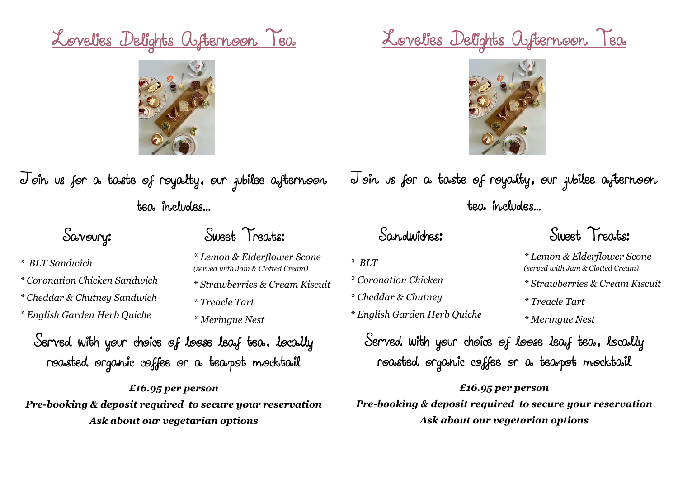# Lovelies Delights Afternoon Tea



Join us for a taste of royalty, our jubilee afternoon tea includes...

*\* Coronation Chicken Sandwich*

*\* Cheddar & Chutney Sandwich*

*\* English Garden Herb Quiche*

*\* BLT Sandwich*

## Savoury: Sweet Treats:

- *\* Lemon & Elderflower Scone (served with Jam & Clotted Cream)*
- *\* Strawberries & Cream Kiscuit*
	- *\* Treacle Tart*
	- *\* Meringue Nest*

Served with your choice of loose leaf tea, locally roasted organic coffee or a teapot mocktail

*£16.95 per person Pre-booking & deposit required to secure your reservation Ask about our vegetarian options*

# Lovelies Delights Afternoon Tea



Join us for a taste of royalty, our jubilee afternoon tea includes...

*\* BLT*

- *\* Coronation Chicken*
- *\* Cheddar & Chutney*
- *\* English Garden Herb Quiche*

Sandwiches: Sweet Treats:

*\* Lemon & Elderflower Scone (served with Jam & Clotted Cream)*

*\* Strawberries & Cream Kiscuit*

*\* Treacle Tart*

*\* Meringue Nest* 

Served with your choice of loose leaf tea, locally roasted organic coffee or a teapot mocktail

*£16.95 per person Pre-booking & deposit required to secure your reservation Ask about our vegetarian options*